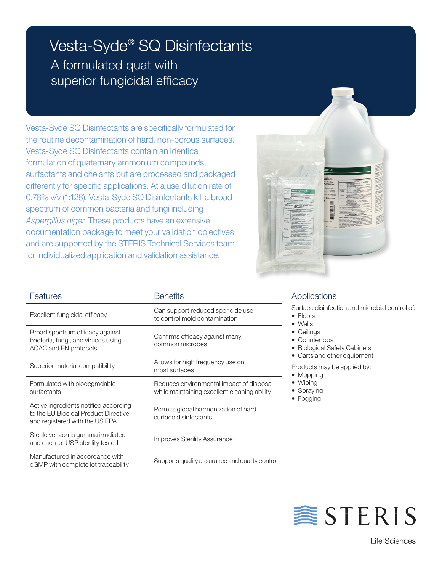## Vesta-Syde® SQ Disinfectants A formulated quat with superior fungicidal efficacy

Vesta-Syde SQ Disinfectants are specifically formulated for the routine decontamination of hard, non-porous surfaces. Vesta-Syde SQ Disinfectants contain an identical formulation of quaternary ammonium compounds, surfactants and chelants but are processed and packaged differently for specific applications. At a use dilution rate of 0.78% v/v (1:128), Vesta-Syde SQ Disinfectants kill a broad spectrum of common bacteria and fungi including *Aspergillus niger*. These products have an extensive documentation package to meet your validation objectives and are supported by the STERIS Technical Services team for individualized application and validation assistance.



| Features                                                                                                        | <b>Benefits</b>                                                                          |  |  |
|-----------------------------------------------------------------------------------------------------------------|------------------------------------------------------------------------------------------|--|--|
| Excellent fungicidal efficacy                                                                                   | Can support reduced sporicide use<br>to control mold contamination                       |  |  |
| Broad spectrum efficacy against<br>bacteria, fungi, and viruses using<br>AOAC and EN protocols                  | Confirms efficacy against many<br>common microbes                                        |  |  |
| Superior material compatibility                                                                                 | Allows for high frequency use on<br>most surfaces                                        |  |  |
| Formulated with biodegradable<br>surfactants                                                                    | Reduces environmental impact of disposal<br>while maintaining excellent cleaning ability |  |  |
| Active ingredients notified according<br>to the EU Biocidal Product Directive<br>and registered with the US EPA | Permits global harmonization of hard<br>surface disinfectants                            |  |  |
| Sterile version is gamma irradiated<br>and each lot USP sterility tested                                        | <b>Improves Sterility Assurance</b>                                                      |  |  |
| Manufactured in accordance with<br>cGMP with complete lot traceability                                          | Supports quality assurance and quality control                                           |  |  |

## **Applications**

Surface disinfection and microbial control of:

- Floors
- • Walls
- Ceilings
- Countertops
- Biological Safety Cabinets • Carts and other equipment

Products may be applied by:

- Mopping
- • Wiping
- Spraying
- Fogging



**《STERIS**